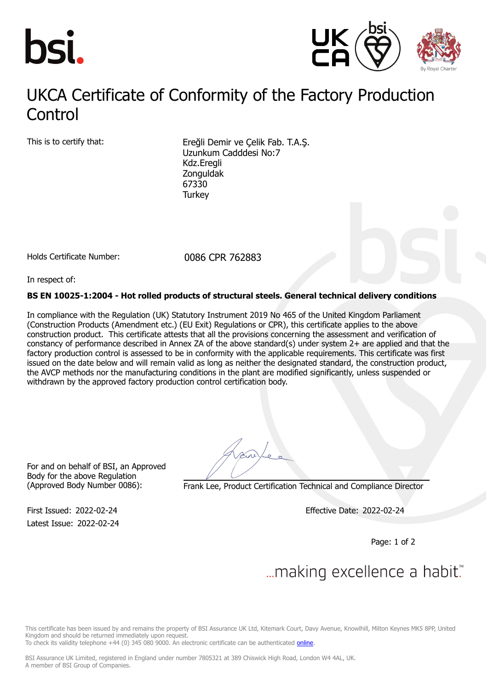



### UKCA Contificate of Conformity of the Factory Production Control UKCA Certificate of Conformity of the Factory Production

This is to certify that: Ereğli Demir ve Çelik Fab. T.A.Ş. Uzunkum Cadddesi No:7 Kdz.Eregli Zonguldak 67330 **Turkey** 

Holds Certificate Number: 0086 CPR 762883

In respect of:

### **BS EN 10025-1:2004 - Hot rolled products of structural steels. General technical delivery conditions**

In compliance with the Regulation (UK) Statutory Instrument 2019 No 465 of the United Kingdom Parliament (Construction Products (Amendment etc.) (EU Exit) Regulations or CPR), this certificate applies to the above construction product. This certificate attests that all the provisions concerning the assessment and verification of constancy of performance described in Annex ZA of the above standard(s) under system 2+ are applied and that the factory production control is assessed to be in conformity with the applicable requirements. This certificate was first issued on the date below and will remain valid as long as neither the designated standard, the construction product, the AVCP methods nor the manufacturing conditions in the plant are modified significantly, unless suspended or withdrawn by the approved factory production control certification body.

For and on behalf of BSI, an Approved Body for the above Regulation

Latest Issue: 2022-02-24

(Approved Body Number 0086): Frank Lee, Product Certification Technical and Compliance Director

First Issued: 2022-02-24 Effective Date: 2022-02-24

Page: 1 of 2

# ... making excellence a habit.

This certificate has been issued by and remains the property of BSI Assurance UK Ltd, Kitemark Court, Davy Avenue, Knowlhill, Milton Keynes MK5 8PP, United Kingdom and should be returned immediately upon request.

To check its validity telephone +44 (0) 345 080 9000. An electronic certificate can be authenticated *[online](https://pgplus.bsigroup.com/CertificateValidation/CertificateValidator.aspx?CertificateNumber=CPR+762883&ReIssueDate=24%2f02%2f2022&Template=uk)*.

BSI Assurance UK Limited, registered in England under number 7805321 at 389 Chiswick High Road, London W4 4AL, UK. A member of BSI Group of Companies.